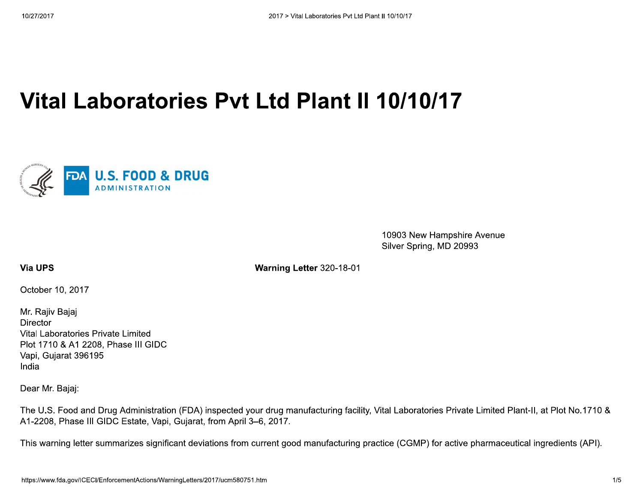# Vital Laboratories Pyt Ltd Plant II 10/10/17



10903 New Hampshire Avenue Silver Spring, MD 20993

**Via UPS** 

Warning Letter 320-18-01

October 10, 2017

Mr. Rajiv Bajaj **Director** Vital Laboratories Private Limited Plot 1710 & A1 2208, Phase III GIDC Vapi, Gujarat 396195 India

Dear Mr. Bajaj:

The U.S. Food and Drug Administration (FDA) inspected your drug manufacturing facility, Vital Laboratories Private Limited Plant-II, at Plot No.1710 & A1-2208, Phase III GIDC Estate, Vapi, Gujarat, from April 3-6, 2017.

This warning letter summarizes significant deviations from current good manufacturing practice (CGMP) for active pharmaceutical ingredients (API).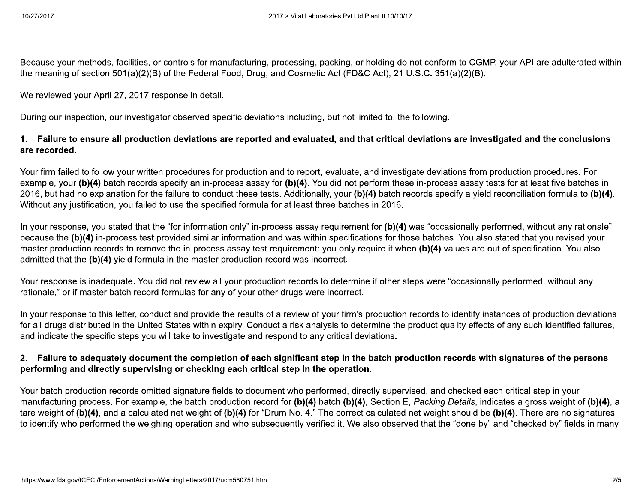Because your methods, facilities, or controls for manufacturing, processing, packing, or holding do not conform to CGMP, your API are adulterated within the meaning of section 501(a)(2)(B) of the Federal Food, Drug, and Cosmetic Act (FD&C Act), 21 U.S.C. 351(a)(2)(B).

We reviewed your April 27, 2017 response in detail.

During our inspection, our investigator observed specific deviations including, but not limited to, the following.

# 1. Failure to ensure all production deviations are reported and evaluated, and that critical deviations are investigated and the conclusions are recorded.

Your firm failed to follow your written procedures for production and to report, evaluate, and investigate deviations from production procedures. For example, your (b)(4) batch records specify an in-process assay for (b)(4). You did not perform these in-process assay tests for at least five batches in 2016, but had no explanation for the failure to conduct these tests. Additionally, your (b)(4) batch records specify a yield reconciliation formula to (b)(4). Without any justification, you failed to use the specified formula for at least three batches in 2016.

In your response, you stated that the "for information only" in-process assay requirement for (b)(4) was "occasionally performed, without any rationale" because the (b)(4) in-process test provided similar information and was within specifications for those batches. You also stated that you revised your master production records to remove the in-process assay test requirement: you only require it when (b)(4) values are out of specification. You also admitted that the (b)(4) yield formula in the master production record was incorrect.

Your response is inadequate. You did not review all your production records to determine if other steps were "occasionally performed, without any rationale," or if master batch record formulas for any of your other drugs were incorrect.

In your response to this letter, conduct and provide the results of a review of your firm's production records to identify instances of production deviations for all drugs distributed in the United States within expiry. Conduct a risk analysis to determine the product quality effects of any such identified failures, and indicate the specific steps you will take to investigate and respond to any critical deviations.

# 2. Failure to adequately document the completion of each significant step in the batch production records with signatures of the persons performing and directly supervising or checking each critical step in the operation.

Your batch production records omitted signature fields to document who performed, directly supervised, and checked each critical step in your manufacturing process. For example, the batch production record for (b)(4) batch (b)(4), Section E, Packing Details, indicates a gross weight of (b)(4), a tare weight of (b)(4), and a calculated net weight of (b)(4) for "Drum No. 4." The correct calculated net weight should be (b)(4). There are no signatures to identify who performed the weighing operation and who subsequently verified it. We also observed that the "done by" and "checked by" fields in many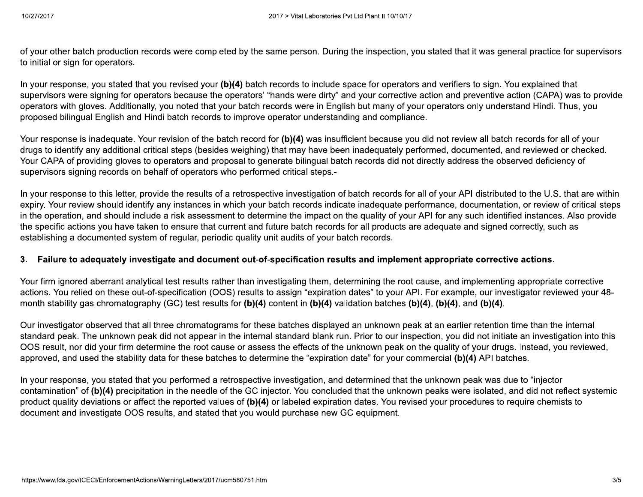of your other batch production records were completed by the same person. During the inspection, you stated that it was general practice for supervisors to initial or sign for operators.

In your response, you stated that you revised your (b)(4) batch records to include space for operators and verifiers to sign. You explained that supervisors were signing for operators because the operators' "hands were dirty" and your corrective action and preventive action (CAPA) was to provide operators with gloves. Additionally, you noted that your batch records were in English but many of your operators only understand Hindi. Thus, you proposed bilingual English and Hindi batch records to improve operator understanding and compliance.

Your response is inadequate. Your revision of the batch record for (b)(4) was insufficient because you did not review all batch records for all of your drugs to identify any additional critical steps (besides weighing) that may have been inadequately performed, documented, and reviewed or checked. Your CAPA of providing gloves to operators and proposal to generate bilingual batch records did not directly address the observed deficiency of supervisors signing records on behalf of operators who performed critical steps.-

In your response to this letter, provide the results of a retrospective investigation of batch records for all of your API distributed to the U.S. that are within expiry. Your review should identify any instances in which your batch records indicate inadequate performance, documentation, or review of critical steps in the operation, and should include a risk assessment to determine the impact on the quality of your API for any such identified instances. Also provide the specific actions you have taken to ensure that current and future batch records for all products are adequate and signed correctly, such as establishing a documented system of regular, periodic quality unit audits of your batch records.

## 3. Failure to adequately investigate and document out-of-specification results and implement appropriate corrective actions.

Your firm ignored aberrant analytical test results rather than investigating them, determining the root cause, and implementing appropriate corrective actions. You relied on these out-of-specification (OOS) results to assign "expiration dates" to your API. For example, our investigator reviewed your 48month stability gas chromatography (GC) test results for (b)(4) content in (b)(4) validation batches (b)(4), (b)(4), and (b)(4).

Our investigator observed that all three chromatograms for these batches displayed an unknown peak at an earlier retention time than the internal standard peak. The unknown peak did not appear in the internal standard blank run. Prior to our inspection, you did not initiate an investigation into this OOS result, nor did your firm determine the root cause or assess the effects of the unknown peak on the quality of your drugs. Instead, you reviewed, approved, and used the stability data for these batches to determine the "expiration date" for your commercial (b)(4) API batches.

In your response, you stated that you performed a retrospective investigation, and determined that the unknown peak was due to "injector contamination" of (b)(4) precipitation in the needle of the GC injector. You concluded that the unknown peaks were isolated, and did not reflect systemic product quality deviations or affect the reported values of (b)(4) or labeled expiration dates. You revised your procedures to require chemists to document and investigate OOS results, and stated that you would purchase new GC equipment.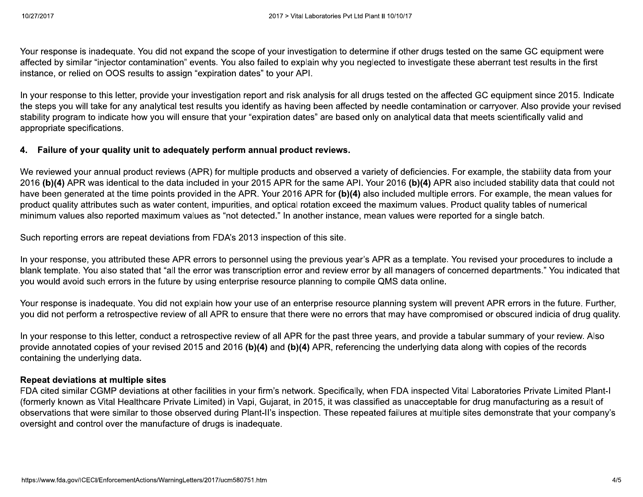Your response is inadequate. You did not expand the scope of your investigation to determine if other drugs tested on the same GC equipment were affected by similar "injector contamination" events. You also failed to explain why you neglected to investigate these aberrant test results in the first instance, or relied on OOS results to assign "expiration dates" to your API.

In your response to this letter, provide your investigation report and risk analysis for all drugs tested on the affected GC equipment since 2015. Indicate the steps you will take for any analytical test results you identify as having been affected by needle contamination or carryover. Also provide your revised stability program to indicate how you will ensure that your "expiration dates" are based only on analytical data that meets scientifically valid and appropriate specifications.

## 4. Failure of your quality unit to adequately perform annual product reviews.

We reviewed your annual product reviews (APR) for multiple products and observed a variety of deficiencies. For example, the stability data from your 2016 (b)(4) APR was identical to the data included in your 2015 APR for the same API. Your 2016 (b)(4) APR also included stability data that could not have been generated at the time points provided in the APR. Your 2016 APR for (b)(4) also included multiple errors. For example, the mean values for product quality attributes such as water content, impurities, and optical rotation exceed the maximum values. Product quality tables of numerical minimum values also reported maximum values as "not detected." In another instance, mean values were reported for a single batch.

Such reporting errors are repeat deviations from FDA's 2013 inspection of this site.

In your response, you attributed these APR errors to personnel using the previous year's APR as a template. You revised your procedures to include a blank template. You also stated that "all the error was transcription error and review error by all managers of concerned departments." You indicated that you would avoid such errors in the future by using enterprise resource planning to compile QMS data online.

Your response is inadequate. You did not explain how your use of an enterprise resource planning system will prevent APR errors in the future. Further, you did not perform a retrospective review of all APR to ensure that there were no errors that may have compromised or obscured indicia of drug quality.

In your response to this letter, conduct a retrospective review of all APR for the past three years, and provide a tabular summary of your review. Also provide annotated copies of your revised 2015 and 2016 (b)(4) and (b)(4) APR, referencing the underlying data along with copies of the records containing the underlying data.

#### **Repeat deviations at multiple sites**

FDA cited similar CGMP deviations at other facilities in your firm's network. Specifically, when FDA inspected Vital Laboratories Private Limited Plant-I (formerly known as Vital Healthcare Private Limited) in Vapi, Gujarat, in 2015, it was classified as unacceptable for drug manufacturing as a result of observations that were similar to those observed during Plant-II's inspection. These repeated failures at multiple sites demonstrate that your company's oversight and control over the manufacture of drugs is inadequate.